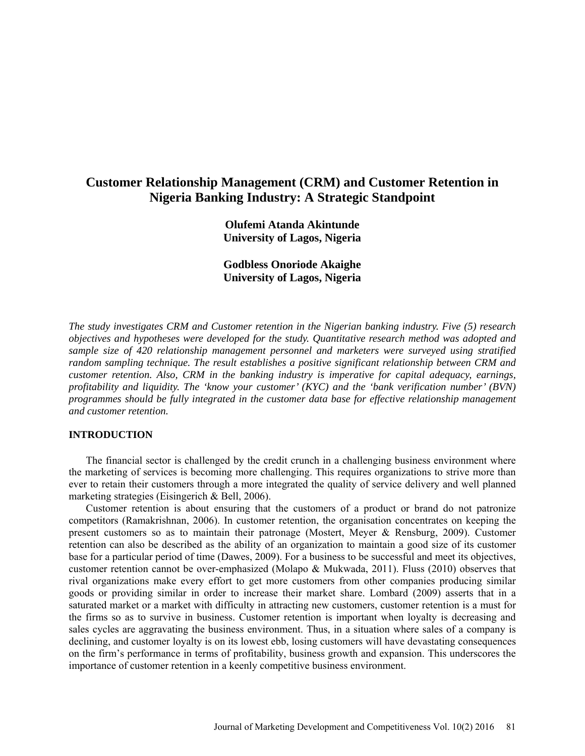# **Customer Relationship Management (CRM) and Customer Retention in Nigeria Banking Industry: A Strategic Standpoint**

**Olufemi Atanda Akintunde University of Lagos, Nigeria** 

**Godbless Onoriode Akaighe University of Lagos, Nigeria**

*The study investigates CRM and Customer retention in the Nigerian banking industry. Five (5) research objectives and hypotheses were developed for the study. Quantitative research method was adopted and sample size of 420 relationship management personnel and marketers were surveyed using stratified random sampling technique. The result establishes a positive significant relationship between CRM and customer retention. Also, CRM in the banking industry is imperative for capital adequacy, earnings, profitability and liquidity. The 'know your customer' (KYC) and the 'bank verification number' (BVN) programmes should be fully integrated in the customer data base for effective relationship management and customer retention.*

# **INTRODUCTION**

The financial sector is challenged by the credit crunch in a challenging business environment where the marketing of services is becoming more challenging. This requires organizations to strive more than ever to retain their customers through a more integrated the quality of service delivery and well planned marketing strategies (Eisingerich & Bell, 2006).

Customer retention is about ensuring that the customers of a product or brand do not patronize competitors (Ramakrishnan, 2006). In customer retention, the organisation concentrates on keeping the present customers so as to maintain their patronage (Mostert, Meyer & Rensburg, 2009). Customer retention can also be described as the ability of an organization to maintain a good size of its customer base for a particular period of time (Dawes, 2009). For a business to be successful and meet its objectives, customer retention cannot be over-emphasized (Molapo & Mukwada, 2011). Fluss (2010) observes that rival organizations make every effort to get more customers from other companies producing similar goods or providing similar in order to increase their market share. Lombard (2009) asserts that in a saturated market or a market with difficulty in attracting new customers, customer retention is a must for the firms so as to survive in business. Customer retention is important when loyalty is decreasing and sales cycles are aggravating the business environment. Thus, in a situation where sales of a company is declining, and customer loyalty is on its lowest ebb, losing customers will have devastating consequences on the firm's performance in terms of profitability, business growth and expansion. This underscores the importance of customer retention in a keenly competitive business environment.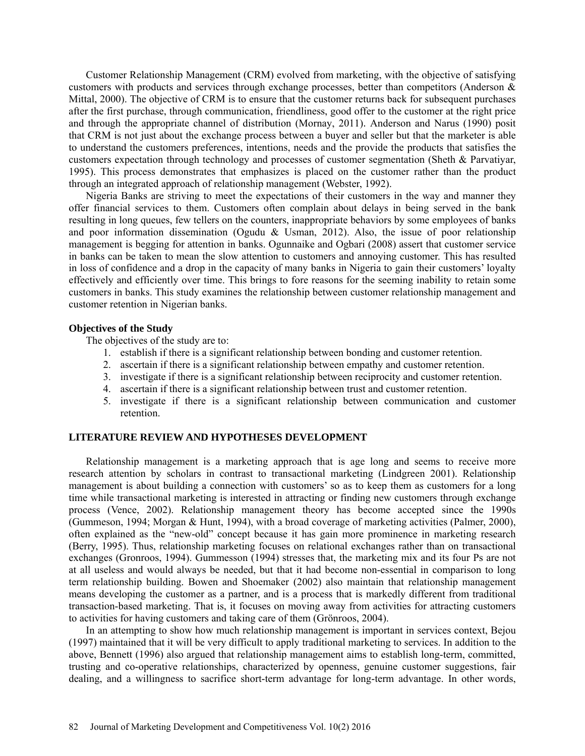Customer Relationship Management (CRM) evolved from marketing, with the objective of satisfying customers with products and services through exchange processes, better than competitors (Anderson & Mittal, 2000). The objective of CRM is to ensure that the customer returns back for subsequent purchases after the first purchase, through communication, friendliness, good offer to the customer at the right price and through the appropriate channel of distribution (Mornay, 2011). Anderson and Narus (1990) posit that CRM is not just about the exchange process between a buyer and seller but that the marketer is able to understand the customers preferences, intentions, needs and the provide the products that satisfies the customers expectation through technology and processes of customer segmentation (Sheth & Parvatiyar, 1995). This process demonstrates that emphasizes is placed on the customer rather than the product through an integrated approach of relationship management (Webster, 1992).

Nigeria Banks are striving to meet the expectations of their customers in the way and manner they offer financial services to them. Customers often complain about delays in being served in the bank resulting in long queues, few tellers on the counters, inappropriate behaviors by some employees of banks and poor information dissemination (Ogudu & Usman, 2012). Also, the issue of poor relationship management is begging for attention in banks. Ogunnaike and Ogbari (2008) assert that customer service in banks can be taken to mean the slow attention to customers and annoying customer. This has resulted in loss of confidence and a drop in the capacity of many banks in Nigeria to gain their customers' loyalty effectively and efficiently over time. This brings to fore reasons for the seeming inability to retain some customers in banks. This study examines the relationship between customer relationship management and customer retention in Nigerian banks.

#### **Objectives of the Study**

The objectives of the study are to:

- 1. establish if there is a significant relationship between bonding and customer retention.
- 2. ascertain if there is a significant relationship between empathy and customer retention.
- 3. investigate if there is a significant relationship between reciprocity and customer retention.
- 4. ascertain if there is a significant relationship between trust and customer retention.
- 5. investigate if there is a significant relationship between communication and customer retention.

# **LITERATURE REVIEW AND HYPOTHESES DEVELOPMENT**

Relationship management is a marketing approach that is age long and seems to receive more research attention by scholars in contrast to transactional marketing (Lindgreen 2001). Relationship management is about building a connection with customers' so as to keep them as customers for a long time while transactional marketing is interested in attracting or finding new customers through exchange process (Vence, 2002). Relationship management theory has become accepted since the 1990s (Gummeson, 1994; Morgan & Hunt, 1994), with a broad coverage of marketing activities (Palmer, 2000), often explained as the "new-old" concept because it has gain more prominence in marketing research (Berry, 1995). Thus, relationship marketing focuses on relational exchanges rather than on transactional exchanges (Gronroos, 1994). Gummesson (1994) stresses that, the marketing mix and its four Ps are not at all useless and would always be needed, but that it had become non-essential in comparison to long term relationship building. Bowen and Shoemaker (2002) also maintain that relationship management means developing the customer as a partner, and is a process that is markedly different from traditional transaction-based marketing. That is, it focuses on moving away from activities for attracting customers to activities for having customers and taking care of them (Grönroos, 2004).

In an attempting to show how much relationship management is important in services context, Bejou (1997) maintained that it will be very difficult to apply traditional marketing to services. In addition to the above, Bennett (1996) also argued that relationship management aims to establish long-term, committed, trusting and co-operative relationships, characterized by openness, genuine customer suggestions, fair dealing, and a willingness to sacrifice short-term advantage for long-term advantage. In other words,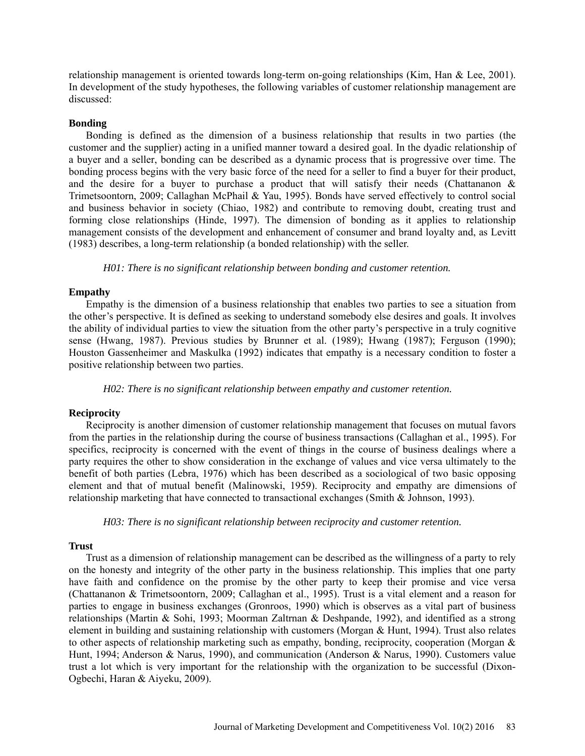relationship management is oriented towards long-term on-going relationships (Kim, Han & Lee, 2001). In development of the study hypotheses, the following variables of customer relationship management are discussed:

# **Bonding**

Bonding is defined as the dimension of a business relationship that results in two parties (the customer and the supplier) acting in a unified manner toward a desired goal. In the dyadic relationship of a buyer and a seller, bonding can be described as a dynamic process that is progressive over time. The bonding process begins with the very basic force of the need for a seller to find a buyer for their product, and the desire for a buyer to purchase a product that will satisfy their needs (Chattananon  $\&$ Trimetsoontorn, 2009; Callaghan McPhail & Yau, 1995). Bonds have served effectively to control social and business behavior in society (Chiao, 1982) and contribute to removing doubt, creating trust and forming close relationships (Hinde, 1997). The dimension of bonding as it applies to relationship management consists of the development and enhancement of consumer and brand loyalty and, as Levitt (1983) describes, a long-term relationship (a bonded relationship) with the seller.

*H01: There is no significant relationship between bonding and customer retention.* 

#### **Empathy**

Empathy is the dimension of a business relationship that enables two parties to see a situation from the other's perspective. It is defined as seeking to understand somebody else desires and goals. It involves the ability of individual parties to view the situation from the other party's perspective in a truly cognitive sense (Hwang, 1987). Previous studies by Brunner et al. (1989); Hwang (1987); Ferguson (1990); Houston Gassenheimer and Maskulka (1992) indicates that empathy is a necessary condition to foster a positive relationship between two parties.

*H02: There is no significant relationship between empathy and customer retention.* 

#### **Reciprocity**

Reciprocity is another dimension of customer relationship management that focuses on mutual favors from the parties in the relationship during the course of business transactions (Callaghan et al., 1995). For specifics, reciprocity is concerned with the event of things in the course of business dealings where a party requires the other to show consideration in the exchange of values and vice versa ultimately to the benefit of both parties (Lebra, 1976) which has been described as a sociological of two basic opposing element and that of mutual benefit (Malinowski, 1959). Reciprocity and empathy are dimensions of relationship marketing that have connected to transactional exchanges (Smith & Johnson, 1993).

*H03: There is no significant relationship between reciprocity and customer retention.*

# **Trust**

Trust as a dimension of relationship management can be described as the willingness of a party to rely on the honesty and integrity of the other party in the business relationship. This implies that one party have faith and confidence on the promise by the other party to keep their promise and vice versa (Chattananon & Trimetsoontorn, 2009; Callaghan et al., 1995). Trust is a vital element and a reason for parties to engage in business exchanges (Gronroos, 1990) which is observes as a vital part of business relationships (Martin & Sohi, 1993; Moorman Zaltrnan & Deshpande, 1992), and identified as a strong element in building and sustaining relationship with customers (Morgan & Hunt, 1994). Trust also relates to other aspects of relationship marketing such as empathy, bonding, reciprocity, cooperation (Morgan & Hunt, 1994; Anderson & Narus, 1990), and communication (Anderson & Narus, 1990). Customers value trust a lot which is very important for the relationship with the organization to be successful (Dixon-Ogbechi, Haran & Aiyeku, 2009).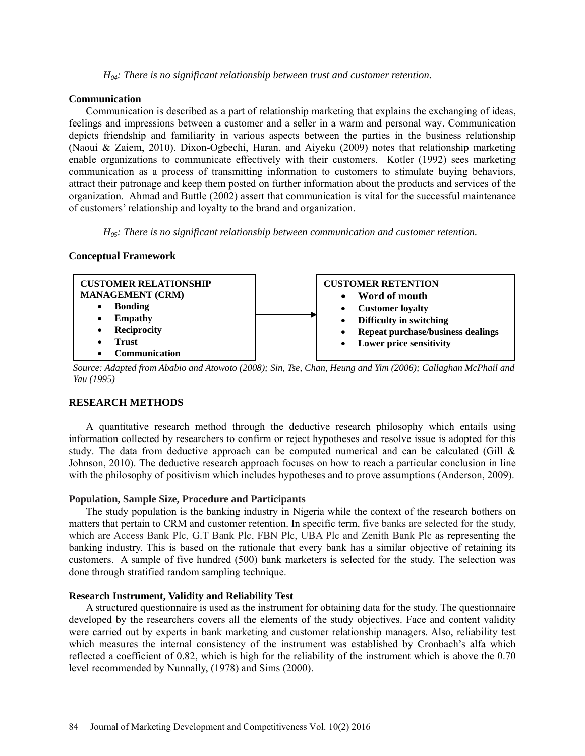*H04: There is no significant relationship between trust and customer retention.* 

#### **Communication**

Communication is described as a part of relationship marketing that explains the exchanging of ideas, feelings and impressions between a customer and a seller in a warm and personal way. Communication depicts friendship and familiarity in various aspects between the parties in the business relationship (Naoui & Zaiem, 2010). Dixon-Ogbechi, Haran, and Aiyeku (2009) notes that relationship marketing enable organizations to communicate effectively with their customers. Kotler (1992) sees marketing communication as a process of transmitting information to customers to stimulate buying behaviors, attract their patronage and keep them posted on further information about the products and services of the organization. Ahmad and Buttle (2002) assert that communication is vital for the successful maintenance of customers' relationship and loyalty to the brand and organization.

*H05: There is no significant relationship between communication and customer retention.*

# **Conceptual Framework**



*Source: Adapted from Ababio and Atowoto (2008); Sin, Tse, Chan, Heung and Yim (2006); Callaghan McPhail and Yau (1995)* 

# **RESEARCH METHODS**

A quantitative research method through the deductive research philosophy which entails using information collected by researchers to confirm or reject hypotheses and resolve issue is adopted for this study. The data from deductive approach can be computed numerical and can be calculated (Gill  $\&$ Johnson, 2010). The deductive research approach focuses on how to reach a particular conclusion in line with the philosophy of positivism which includes hypotheses and to prove assumptions (Anderson, 2009).

# **Population, Sample Size, Procedure and Participants**

The study population is the banking industry in Nigeria while the context of the research bothers on matters that pertain to CRM and customer retention. In specific term, five banks are selected for the study, which are Access Bank Plc, G.T Bank Plc, FBN Plc, UBA Plc and Zenith Bank Plc as representing the banking industry. This is based on the rationale that every bank has a similar objective of retaining its customers. A sample of five hundred (500) bank marketers is selected for the study. The selection was done through stratified random sampling technique.

# **Research Instrument, Validity and Reliability Test**

A structured questionnaire is used as the instrument for obtaining data for the study. The questionnaire developed by the researchers covers all the elements of the study objectives. Face and content validity were carried out by experts in bank marketing and customer relationship managers. Also, reliability test which measures the internal consistency of the instrument was established by Cronbach's alfa which reflected a coefficient of 0.82, which is high for the reliability of the instrument which is above the 0.70 level recommended by Nunnally, (1978) and Sims (2000).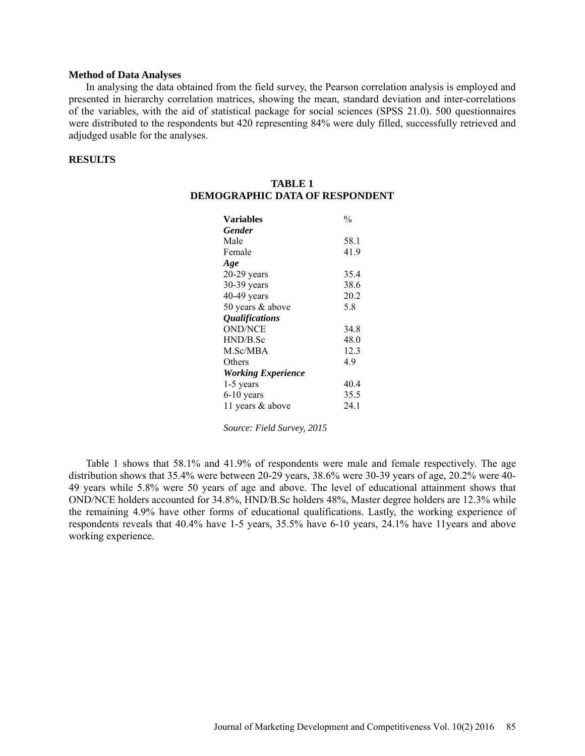#### **Method of Data Analyses**

In analysing the data obtained from the field survey, the Pearson correlation analysis is employed and presented in hierarchy correlation matrices, showing the mean, standard deviation and inter-correlations of the variables, with the aid of statistical package for social sciences (SPSS 21.0). 500 questionnaires were distributed to the respondents but 420 representing 84% were duly filled, successfully retrieved and adjudged usable for the analyses.

# **RESULTS**

| <b>Variables</b>          | $\frac{0}{0}$ |
|---------------------------|---------------|
| <b>Gender</b>             |               |
| Male                      | 58.1          |
| Female                    | 41.9          |
| Age                       |               |
| $20-29$ years             | 35.4          |
| 30-39 years               | 38.6          |
| $40-49$ years             | 20.2          |
| 50 years & above          | 5.8           |
| <b>Qualifications</b>     |               |
| <b>OND/NCE</b>            | 34.8          |
| HND/B.Sc                  | 48.0          |
| M.Sc/MBA                  | 12.3          |
| Others                    | 4.9           |
| <b>Working Experience</b> |               |
| 1-5 years                 | 40.4          |
| $6-10$ years              | 35.5          |
| 11 years & above          | 24.1          |

**TABLE 1 DEMOGRAPHIC DATA OF RESPONDENT**

*Source: Field Survey, 2015*

Table 1 shows that 58.1% and 41.9% of respondents were male and female respectively. The age distribution shows that 35.4% were between 20-29 years, 38.6% were 30-39 years of age, 20.2% were 40- 49 years while 5.8% were 50 years of age and above. The level of educational attainment shows that OND/NCE holders accounted for 34.8%, HND/B.Sc holders 48%, Master degree holders are 12.3% while the remaining 4.9% have other forms of educational qualifications. Lastly, the working experience of respondents reveals that 40.4% have 1-5 years, 35.5% have 6-10 years, 24.1% have 11years and above working experience.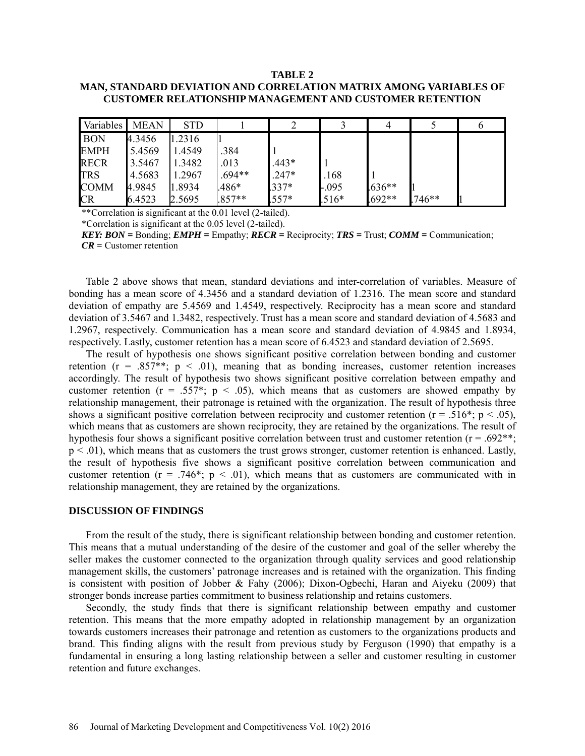#### **TABLE 2**

# **MAN, STANDARD DEVIATION AND CORRELATION MATRIX AMONG VARIABLES OF CUSTOMER RELATIONSHIP MANAGEMENT AND CUSTOMER RETENTION**

| Variables   | <b>MEAN</b> | <b>STD</b> |          |         |          |          |        |  |
|-------------|-------------|------------|----------|---------|----------|----------|--------|--|
| <b>BON</b>  | 4.3456      | 1.2316     |          |         |          |          |        |  |
| <b>EMPH</b> | 5.4569      | 1.4549     | .384     |         |          |          |        |  |
| <b>RECR</b> | 3.5467      | 1.3482     | .013     | $.443*$ |          |          |        |  |
| <b>TRS</b>  | 4.5683      | 1.2967     | $.694**$ | $.247*$ | .168     |          |        |  |
| <b>COMM</b> | 4.9845      | 1.8934     | $.486*$  | $.337*$ | $-0.095$ | $.636**$ |        |  |
| CR          | 6.4523      | 2.5695     | $.857**$ | $.557*$ | $.516*$  | $.692**$ | .746** |  |

\*\*Correlation is significant at the 0.01 level (2-tailed).

\*Correlation is significant at the 0.05 level (2-tailed).

*KEY: BON =* Bonding; *EMPH =* Empathy; *RECR =* Reciprocity; *TRS =* Trust; *COMM =* Communication; *CR =* Customer retention

Table 2 above shows that mean, standard deviations and inter-correlation of variables. Measure of bonding has a mean score of 4.3456 and a standard deviation of 1.2316. The mean score and standard deviation of empathy are 5.4569 and 1.4549, respectively. Reciprocity has a mean score and standard deviation of 3.5467 and 1.3482, respectively. Trust has a mean score and standard deviation of 4.5683 and 1.2967, respectively. Communication has a mean score and standard deviation of 4.9845 and 1.8934, respectively. Lastly, customer retention has a mean score of 6.4523 and standard deviation of 2.5695.

The result of hypothesis one shows significant positive correlation between bonding and customer retention ( $r = .857**$ ;  $p < .01$ ), meaning that as bonding increases, customer retention increases accordingly. The result of hypothesis two shows significant positive correlation between empathy and customer retention ( $r = .557^*$ ;  $p < .05$ ), which means that as customers are showed empathy by relationship management, their patronage is retained with the organization. The result of hypothesis three shows a significant positive correlation between reciprocity and customer retention ( $r = .516$ <sup>\*</sup>; p < .05), which means that as customers are shown reciprocity, they are retained by the organizations. The result of hypothesis four shows a significant positive correlation between trust and customer retention ( $r = .692**$ ;  $p < .01$ ), which means that as customers the trust grows stronger, customer retention is enhanced. Lastly, the result of hypothesis five shows a significant positive correlation between communication and customer retention ( $r = .746^*$ ;  $p < .01$ ), which means that as customers are communicated with in relationship management, they are retained by the organizations.

#### **DISCUSSION OF FINDINGS**

From the result of the study, there is significant relationship between bonding and customer retention. This means that a mutual understanding of the desire of the customer and goal of the seller whereby the seller makes the customer connected to the organization through quality services and good relationship management skills, the customers' patronage increases and is retained with the organization. This finding is consistent with position of Jobber & Fahy (2006); Dixon-Ogbechi, Haran and Aiyeku (2009) that stronger bonds increase parties commitment to business relationship and retains customers.

Secondly, the study finds that there is significant relationship between empathy and customer retention. This means that the more empathy adopted in relationship management by an organization towards customers increases their patronage and retention as customers to the organizations products and brand. This finding aligns with the result from previous study by Ferguson (1990) that empathy is a fundamental in ensuring a long lasting relationship between a seller and customer resulting in customer retention and future exchanges.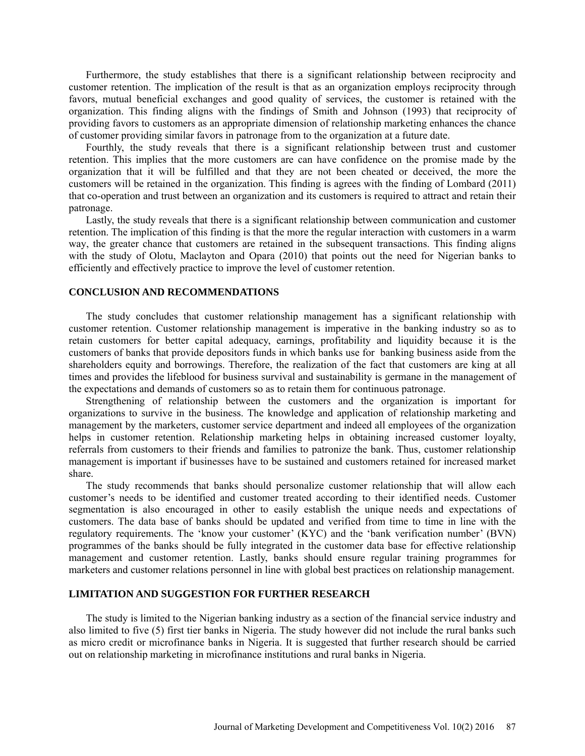Furthermore, the study establishes that there is a significant relationship between reciprocity and customer retention. The implication of the result is that as an organization employs reciprocity through favors, mutual beneficial exchanges and good quality of services, the customer is retained with the organization. This finding aligns with the findings of Smith and Johnson (1993) that reciprocity of providing favors to customers as an appropriate dimension of relationship marketing enhances the chance of customer providing similar favors in patronage from to the organization at a future date.

Fourthly, the study reveals that there is a significant relationship between trust and customer retention. This implies that the more customers are can have confidence on the promise made by the organization that it will be fulfilled and that they are not been cheated or deceived, the more the customers will be retained in the organization. This finding is agrees with the finding of Lombard (2011) that co-operation and trust between an organization and its customers is required to attract and retain their patronage.

Lastly, the study reveals that there is a significant relationship between communication and customer retention. The implication of this finding is that the more the regular interaction with customers in a warm way, the greater chance that customers are retained in the subsequent transactions. This finding aligns with the study of Olotu, Maclayton and Opara (2010) that points out the need for Nigerian banks to efficiently and effectively practice to improve the level of customer retention.

#### **CONCLUSION AND RECOMMENDATIONS**

The study concludes that customer relationship management has a significant relationship with customer retention. Customer relationship management is imperative in the banking industry so as to retain customers for better capital adequacy, earnings, profitability and liquidity because it is the customers of banks that provide depositors funds in which banks use for banking business aside from the shareholders equity and borrowings. Therefore, the realization of the fact that customers are king at all times and provides the lifeblood for business survival and sustainability is germane in the management of the expectations and demands of customers so as to retain them for continuous patronage.

Strengthening of relationship between the customers and the organization is important for organizations to survive in the business. The knowledge and application of relationship marketing and management by the marketers, customer service department and indeed all employees of the organization helps in customer retention. Relationship marketing helps in obtaining increased customer loyalty, referrals from customers to their friends and families to patronize the bank. Thus, customer relationship management is important if businesses have to be sustained and customers retained for increased market share.

The study recommends that banks should personalize customer relationship that will allow each customer's needs to be identified and customer treated according to their identified needs. Customer segmentation is also encouraged in other to easily establish the unique needs and expectations of customers. The data base of banks should be updated and verified from time to time in line with the regulatory requirements. The 'know your customer' (KYC) and the 'bank verification number' (BVN) programmes of the banks should be fully integrated in the customer data base for effective relationship management and customer retention. Lastly, banks should ensure regular training programmes for marketers and customer relations personnel in line with global best practices on relationship management.

# **LIMITATION AND SUGGESTION FOR FURTHER RESEARCH**

The study is limited to the Nigerian banking industry as a section of the financial service industry and also limited to five (5) first tier banks in Nigeria. The study however did not include the rural banks such as micro credit or microfinance banks in Nigeria. It is suggested that further research should be carried out on relationship marketing in microfinance institutions and rural banks in Nigeria.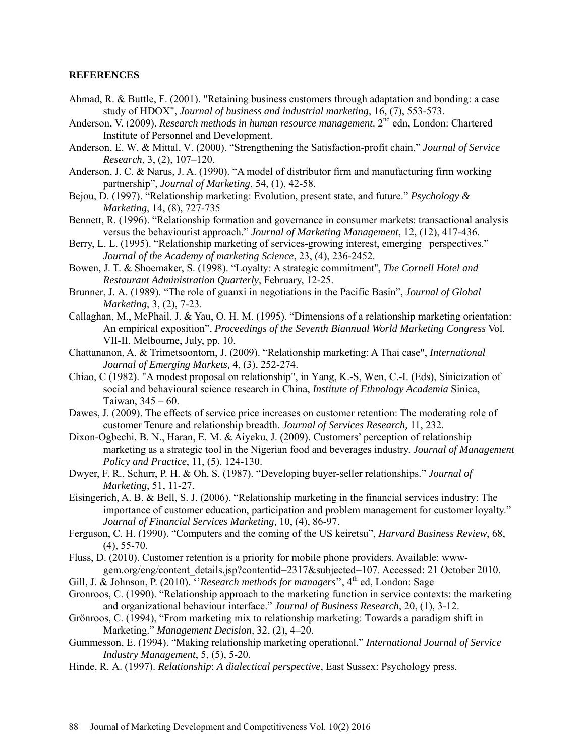#### **REFERENCES**

- Ahmad, R. & Buttle, F. (2001). "Retaining business customers through adaptation and bonding: a case study of HDOX", *Journal of business and industrial marketing*, 16, (7), 553-573.
- Anderson, V. (2009). *Research methods in human resource management*. 2<sup>nd</sup> edn, London: Chartered Institute of Personnel and Development.
- Anderson, E. W. & Mittal, V. (2000). "Strengthening the Satisfaction-profit chain," *Journal of Service Research*, 3, (2), 107–120.
- Anderson, J. C. & Narus, J. A. (1990). "A model of distributor firm and manufacturing firm working partnership", *Journal of Marketing*, 54, (1), 42-58.
- Bejou, D. (1997). "Relationship marketing: Evolution, present state, and future." *Psychology & Marketing*, 14, (8), 727-735
- Bennett, R. (1996). "Relationship formation and governance in consumer markets: transactional analysis versus the behaviourist approach." *Journal of Marketing Management*, 12, (12), 417-436.
- Berry, L. L. (1995). "Relationship marketing of services-growing interest, emerging perspectives." *Journal of the Academy of marketing Science*, 23, (4), 236-2452.
- Bowen, J. T. & Shoemaker, S. (1998). "Loyalty: A strategic commitment'', *The Cornell Hotel and Restaurant Administration Quarterly*, February, 12-25.
- Brunner, J. A. (1989). "The role of guanxi in negotiations in the Pacific Basin", *Journal of Global Marketing*, 3, (2), 7-23.
- Callaghan, M., McPhail, J. & Yau, O. H. M. (1995). "Dimensions of a relationship marketing orientation: An empirical exposition", *Proceedings of the Seventh Biannual World Marketing Congress* Vol. VII-II, Melbourne, July, pp. 10.
- Chattananon, A. & Trimetsoontorn, J. (2009). "Relationship marketing: A Thai case", *International Journal of Emerging Markets,* 4, (3), 252-274.
- Chiao, C (1982). "A modest proposal on relationship", in Yang, K.-S, Wen, C.-I. (Eds), Sinicization of social and behavioural science research in China, *Institute of Ethnology Academia* Sinica, Taiwan, 345 – 60.
- Dawes, J. (2009). The effects of service price increases on customer retention: The moderating role of customer Tenure and relationship breadth. *Journal of Services Research,* 11, 232.
- Dixon-Ogbechi, B. N., Haran, E. M. & Aiyeku, J. (2009). Customers' perception of relationship marketing as a strategic tool in the Nigerian food and beverages industry. *Journal of Management Policy and Practice*, 11, (5), 124-130.
- Dwyer, F. R., Schurr, P. H. & Oh, S. (1987). "Developing buyer-seller relationships." *Journal of Marketing*, 51, 11-27.
- Eisingerich, A. B. & Bell, S. J. (2006). "Relationship marketing in the financial services industry: The importance of customer education, participation and problem management for customer loyalty." *Journal of Financial Services Marketing,* 10, (4), 86-97.
- Ferguson, C. H. (1990). "Computers and the coming of the US keiretsu", *Harvard Business Review*, 68, (4), 55-70.
- Fluss, D. (2010). Customer retention is a priority for mobile phone providers. Available: wwwgem.org/eng/content\_details.jsp?contentid=2317&subjected=107. Accessed: 21 October 2010.
- Gill, J. & Johnson, P. (2010). *''Research methods for managers*", 4<sup>th</sup> ed, London: Sage
- Gronroos, C. (1990). "Relationship approach to the marketing function in service contexts: the marketing and organizational behaviour interface." *Journal of Business Research*, 20, (1), 3-12.
- Grönroos, C. (1994), "From marketing mix to relationship marketing: Towards a paradigm shift in Marketing." *Management Decision,* 32, (2), 4–20.
- Gummesson, E. (1994). "Making relationship marketing operational." *International Journal of Service Industry Management*, 5, (5), 5-20.
- Hinde, R. A. (1997). *Relationship*: *A dialectical perspective*, East Sussex: Psychology press.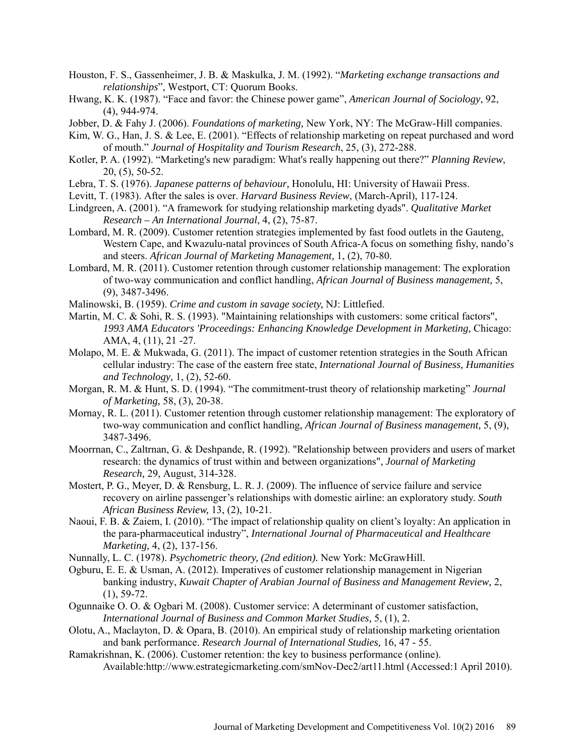- Houston, F. S., Gassenheimer, J. B. & Maskulka, J. M. (1992). "*Marketing exchange transactions and relationships*", Westport, CT: Quorum Books.
- Hwang, K. K. (1987). "Face and favor: the Chinese power game", *American Journal of Sociology*, 92, (4), 944-974.
- Jobber, D. & Fahy J. (2006). *Foundations of marketing,* New York, NY: The McGraw-Hill companies.
- Kim, W. G., Han, J. S. & Lee, E. (2001). "Effects of relationship marketing on repeat purchased and word of mouth." *Journal of Hospitality and Tourism Research*, 25, (3), 272-288.
- Kotler, P. A. (1992). "Marketing's new paradigm: What's really happening out there?" *Planning Review*, 20, (5), 50-52.
- Lebra, T. S. (1976). *Japanese patterns of behaviour,* Honolulu, HI: University of Hawaii Press.
- Levitt, T. (1983). After the sales is over. *Harvard Business Review*, (March-April), 117-124.
- Lindgreen, A. (2001). "A framework for studying relationship marketing dyads". *Qualitative Market Research – An International Journal*, 4, (2), 75-87.
- Lombard, M. R. (2009). Customer retention strategies implemented by fast food outlets in the Gauteng, Western Cape, and Kwazulu-natal provinces of South Africa-A focus on something fishy, nando's and steers. *African Journal of Marketing Management,* 1, (2), 70-80.
- Lombard, M. R. (2011). Customer retention through customer relationship management: The exploration of two-way communication and conflict handling, *African Journal of Business management,* 5, (9), 3487-3496.
- Malinowski, B. (1959). *Crime and custom in savage society,* NJ: Littlefied.
- Martin, M. C. & Sohi, R. S. (1993). "Maintaining relationships with customers: some critical factors", *1993 AMA Educators 'Proceedings: Enhancing Knowledge Development in Marketing,* Chicago: AMA, 4, (11), 21 -27.
- Molapo, M. E. & Mukwada, G. (2011). The impact of customer retention strategies in the South African cellular industry: The case of the eastern free state, *International Journal of Business, Humanities and Technology,* 1, (2), 52-60.
- Morgan, R. M. & Hunt, S. D. (1994). "The commitment-trust theory of relationship marketing" *Journal of Marketing,* 58, (3), 20-38.
- Mornay, R. L. (2011). Customer retention through customer relationship management: The exploratory of two-way communication and conflict handling, *African Journal of Business management,* 5, (9), 3487-3496.
- Moorrnan, C., Zaltrnan, G. & Deshpande, R. (1992). "Relationship between providers and users of market research: the dynamics of trust within and between organizations", *Journal of Marketing Research,* 29, August, 314-328.
- Mostert, P. G., Meyer, D. & Rensburg, L. R. J. (2009). The influence of service failure and service recovery on airline passenger's relationships with domestic airline: an exploratory study. *South African Business Review,* 13, (2), 10-21.
- Naoui, F. B. & Zaiem, I. (2010). "The impact of relationship quality on client's loyalty: An application in the para-pharmaceutical industry", *International Journal of Pharmaceutical and Healthcare Marketing,* 4, (2), 137-156.
- Nunnally, L. C. (1978). *Psychometric theory, (2nd edition).* New York: McGrawHill.
- Ogburu, E. E. & Usman, A. (2012). Imperatives of customer relationship management in Nigerian banking industry, *Kuwait Chapter of Arabian Journal of Business and Management Review,* 2, (1), 59-72.
- Ogunnaike O. O. & Ogbari M. (2008). Customer service: A determinant of customer satisfaction, *International Journal of Business and Common Market Studies,* 5, (1), 2.
- Olotu, A., Maclayton, D. & Opara, B. (2010). An empirical study of relationship marketing orientation and bank performance. *Research Journal of International Studies,* 16, 47 - 55.
- Ramakrishnan, K. (2006). Customer retention: the key to business performance (online). Available:http://www.estrategicmarketing.com/smNov-Dec2/art11.html (Accessed:1 April 2010).